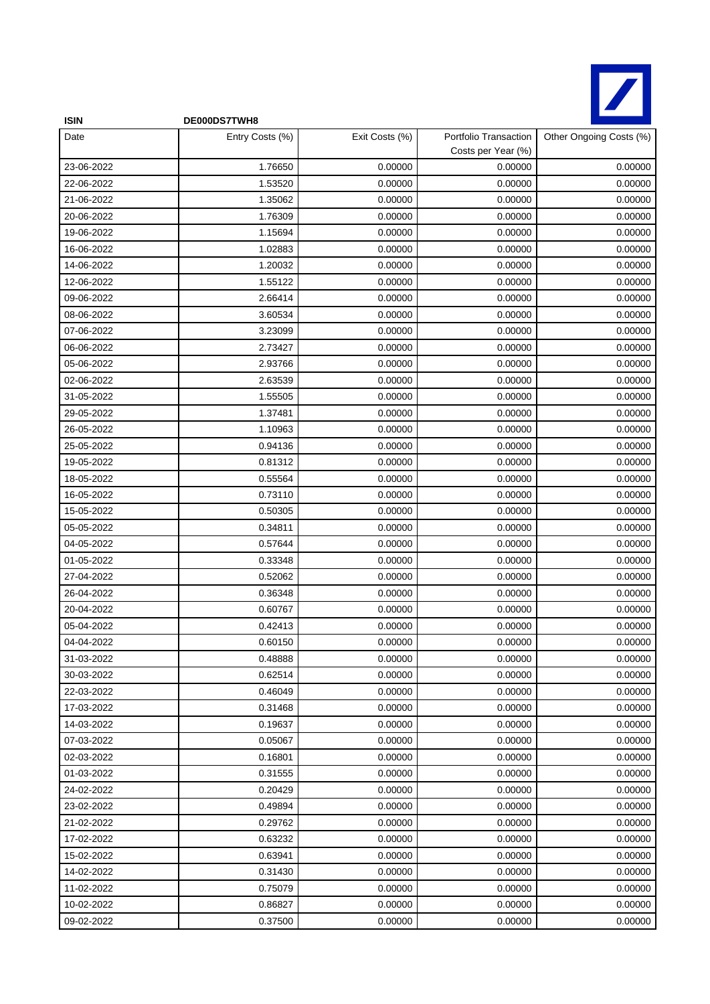

| <b>ISIN</b> | DE000DS7TWH8    |                |                                             |                         |
|-------------|-----------------|----------------|---------------------------------------------|-------------------------|
| Date        | Entry Costs (%) | Exit Costs (%) | Portfolio Transaction<br>Costs per Year (%) | Other Ongoing Costs (%) |
| 23-06-2022  | 1.76650         | 0.00000        | 0.00000                                     | 0.00000                 |
| 22-06-2022  | 1.53520         | 0.00000        | 0.00000                                     | 0.00000                 |
| 21-06-2022  | 1.35062         | 0.00000        | 0.00000                                     | 0.00000                 |
| 20-06-2022  | 1.76309         | 0.00000        | 0.00000                                     | 0.00000                 |
| 19-06-2022  | 1.15694         | 0.00000        | 0.00000                                     | 0.00000                 |
| 16-06-2022  | 1.02883         | 0.00000        | 0.00000                                     | 0.00000                 |
| 14-06-2022  | 1.20032         | 0.00000        | 0.00000                                     | 0.00000                 |
| 12-06-2022  | 1.55122         | 0.00000        | 0.00000                                     | 0.00000                 |
| 09-06-2022  | 2.66414         | 0.00000        | 0.00000                                     | 0.00000                 |
| 08-06-2022  | 3.60534         | 0.00000        | 0.00000                                     | 0.00000                 |
| 07-06-2022  | 3.23099         | 0.00000        | 0.00000                                     | 0.00000                 |
| 06-06-2022  | 2.73427         | 0.00000        | 0.00000                                     | 0.00000                 |
| 05-06-2022  | 2.93766         | 0.00000        | 0.00000                                     | 0.00000                 |
| 02-06-2022  | 2.63539         | 0.00000        | 0.00000                                     | 0.00000                 |
| 31-05-2022  | 1.55505         | 0.00000        | 0.00000                                     | 0.00000                 |
| 29-05-2022  | 1.37481         | 0.00000        | 0.00000                                     | 0.00000                 |
| 26-05-2022  | 1.10963         | 0.00000        | 0.00000                                     | 0.00000                 |
| 25-05-2022  | 0.94136         | 0.00000        | 0.00000                                     | 0.00000                 |
| 19-05-2022  | 0.81312         | 0.00000        | 0.00000                                     | 0.00000                 |
| 18-05-2022  | 0.55564         | 0.00000        | 0.00000                                     | 0.00000                 |
| 16-05-2022  | 0.73110         | 0.00000        | 0.00000                                     | 0.00000                 |
| 15-05-2022  | 0.50305         | 0.00000        | 0.00000                                     | 0.00000                 |
| 05-05-2022  | 0.34811         | 0.00000        | 0.00000                                     | 0.00000                 |
| 04-05-2022  | 0.57644         | 0.00000        | 0.00000                                     | 0.00000                 |
| 01-05-2022  | 0.33348         | 0.00000        | 0.00000                                     | 0.00000                 |
| 27-04-2022  | 0.52062         | 0.00000        | 0.00000                                     | 0.00000                 |
| 26-04-2022  | 0.36348         | 0.00000        | 0.00000                                     | 0.00000                 |
| 20-04-2022  | 0.60767         | 0.00000        | 0.00000                                     | 0.00000                 |
| 05-04-2022  | 0.42413         | 0.00000        | 0.00000                                     | 0.00000                 |
| 04-04-2022  | 0.60150         | 0.00000        | 0.00000                                     | 0.00000                 |
| 31-03-2022  | 0.48888         | 0.00000        | 0.00000                                     | 0.00000                 |
| 30-03-2022  | 0.62514         | 0.00000        | 0.00000                                     | 0.00000                 |
| 22-03-2022  | 0.46049         | 0.00000        | 0.00000                                     | 0.00000                 |
| 17-03-2022  | 0.31468         | 0.00000        | 0.00000                                     | 0.00000                 |
| 14-03-2022  | 0.19637         | 0.00000        | 0.00000                                     | 0.00000                 |
| 07-03-2022  | 0.05067         | 0.00000        | 0.00000                                     | 0.00000                 |
| 02-03-2022  | 0.16801         | 0.00000        | 0.00000                                     | 0.00000                 |
| 01-03-2022  | 0.31555         | 0.00000        | 0.00000                                     | 0.00000                 |
| 24-02-2022  | 0.20429         | 0.00000        | 0.00000                                     | 0.00000                 |
| 23-02-2022  | 0.49894         | 0.00000        | 0.00000                                     | 0.00000                 |
| 21-02-2022  | 0.29762         | 0.00000        | 0.00000                                     | 0.00000                 |
| 17-02-2022  | 0.63232         | 0.00000        | 0.00000                                     | 0.00000                 |
| 15-02-2022  | 0.63941         | 0.00000        | 0.00000                                     | 0.00000                 |
| 14-02-2022  | 0.31430         | 0.00000        | 0.00000                                     | 0.00000                 |
| 11-02-2022  | 0.75079         | 0.00000        | 0.00000                                     | 0.00000                 |
| 10-02-2022  | 0.86827         | 0.00000        | 0.00000                                     | 0.00000                 |
| 09-02-2022  | 0.37500         | 0.00000        | 0.00000                                     | 0.00000                 |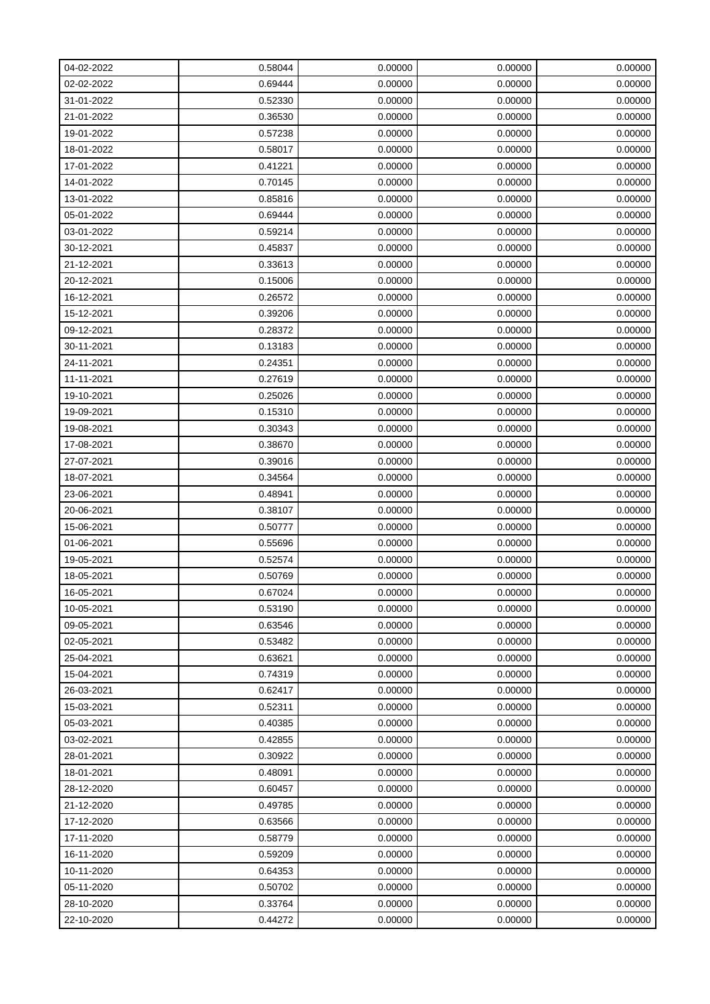| 04-02-2022 | 0.58044 | 0.00000 | 0.00000 | 0.00000 |
|------------|---------|---------|---------|---------|
| 02-02-2022 | 0.69444 | 0.00000 | 0.00000 | 0.00000 |
| 31-01-2022 | 0.52330 | 0.00000 | 0.00000 | 0.00000 |
| 21-01-2022 | 0.36530 | 0.00000 | 0.00000 | 0.00000 |
| 19-01-2022 | 0.57238 | 0.00000 | 0.00000 | 0.00000 |
| 18-01-2022 | 0.58017 | 0.00000 | 0.00000 | 0.00000 |
| 17-01-2022 | 0.41221 | 0.00000 | 0.00000 | 0.00000 |
| 14-01-2022 | 0.70145 | 0.00000 | 0.00000 | 0.00000 |
| 13-01-2022 | 0.85816 | 0.00000 | 0.00000 | 0.00000 |
| 05-01-2022 | 0.69444 | 0.00000 | 0.00000 | 0.00000 |
| 03-01-2022 | 0.59214 | 0.00000 | 0.00000 | 0.00000 |
| 30-12-2021 | 0.45837 | 0.00000 | 0.00000 | 0.00000 |
| 21-12-2021 | 0.33613 | 0.00000 | 0.00000 | 0.00000 |
| 20-12-2021 | 0.15006 | 0.00000 | 0.00000 | 0.00000 |
| 16-12-2021 | 0.26572 | 0.00000 | 0.00000 | 0.00000 |
| 15-12-2021 | 0.39206 | 0.00000 | 0.00000 | 0.00000 |
| 09-12-2021 | 0.28372 | 0.00000 | 0.00000 | 0.00000 |
| 30-11-2021 | 0.13183 | 0.00000 | 0.00000 | 0.00000 |
| 24-11-2021 | 0.24351 | 0.00000 | 0.00000 | 0.00000 |
| 11-11-2021 | 0.27619 | 0.00000 | 0.00000 | 0.00000 |
| 19-10-2021 | 0.25026 | 0.00000 | 0.00000 | 0.00000 |
| 19-09-2021 | 0.15310 | 0.00000 | 0.00000 | 0.00000 |
| 19-08-2021 | 0.30343 | 0.00000 | 0.00000 | 0.00000 |
| 17-08-2021 | 0.38670 | 0.00000 | 0.00000 | 0.00000 |
| 27-07-2021 | 0.39016 | 0.00000 | 0.00000 | 0.00000 |
| 18-07-2021 | 0.34564 | 0.00000 | 0.00000 | 0.00000 |
| 23-06-2021 | 0.48941 | 0.00000 | 0.00000 | 0.00000 |
| 20-06-2021 | 0.38107 | 0.00000 | 0.00000 | 0.00000 |
| 15-06-2021 | 0.50777 | 0.00000 | 0.00000 | 0.00000 |
| 01-06-2021 | 0.55696 | 0.00000 | 0.00000 | 0.00000 |
| 19-05-2021 | 0.52574 | 0.00000 | 0.00000 | 0.00000 |
| 18-05-2021 | 0.50769 | 0.00000 | 0.00000 | 0.00000 |
| 16-05-2021 | 0.67024 | 0.00000 | 0.00000 | 0.00000 |
| 10-05-2021 | 0.53190 | 0.00000 | 0.00000 | 0.00000 |
| 09-05-2021 | 0.63546 | 0.00000 | 0.00000 | 0.00000 |
| 02-05-2021 | 0.53482 | 0.00000 | 0.00000 | 0.00000 |
| 25-04-2021 | 0.63621 | 0.00000 | 0.00000 | 0.00000 |
| 15-04-2021 | 0.74319 | 0.00000 | 0.00000 | 0.00000 |
| 26-03-2021 | 0.62417 | 0.00000 | 0.00000 | 0.00000 |
| 15-03-2021 | 0.52311 | 0.00000 | 0.00000 | 0.00000 |
| 05-03-2021 | 0.40385 | 0.00000 | 0.00000 | 0.00000 |
| 03-02-2021 | 0.42855 | 0.00000 | 0.00000 | 0.00000 |
| 28-01-2021 | 0.30922 | 0.00000 | 0.00000 | 0.00000 |
| 18-01-2021 | 0.48091 | 0.00000 | 0.00000 | 0.00000 |
| 28-12-2020 | 0.60457 | 0.00000 | 0.00000 | 0.00000 |
| 21-12-2020 | 0.49785 | 0.00000 | 0.00000 | 0.00000 |
| 17-12-2020 | 0.63566 | 0.00000 | 0.00000 | 0.00000 |
| 17-11-2020 | 0.58779 | 0.00000 | 0.00000 | 0.00000 |
| 16-11-2020 | 0.59209 | 0.00000 | 0.00000 | 0.00000 |
| 10-11-2020 | 0.64353 | 0.00000 | 0.00000 | 0.00000 |
| 05-11-2020 | 0.50702 | 0.00000 | 0.00000 | 0.00000 |
| 28-10-2020 | 0.33764 | 0.00000 | 0.00000 | 0.00000 |
| 22-10-2020 | 0.44272 | 0.00000 | 0.00000 | 0.00000 |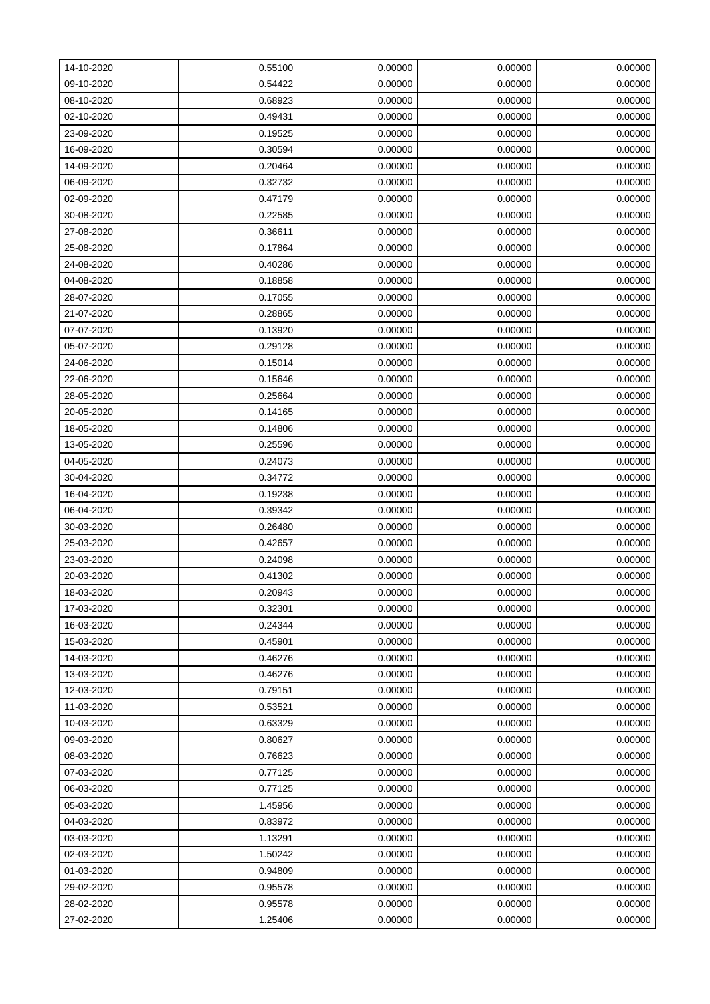| 14-10-2020 | 0.55100 | 0.00000 | 0.00000 | 0.00000 |
|------------|---------|---------|---------|---------|
| 09-10-2020 | 0.54422 | 0.00000 | 0.00000 | 0.00000 |
| 08-10-2020 | 0.68923 | 0.00000 | 0.00000 | 0.00000 |
| 02-10-2020 | 0.49431 | 0.00000 | 0.00000 | 0.00000 |
| 23-09-2020 | 0.19525 | 0.00000 | 0.00000 | 0.00000 |
| 16-09-2020 | 0.30594 | 0.00000 | 0.00000 | 0.00000 |
| 14-09-2020 | 0.20464 | 0.00000 | 0.00000 | 0.00000 |
| 06-09-2020 | 0.32732 | 0.00000 | 0.00000 | 0.00000 |
| 02-09-2020 | 0.47179 | 0.00000 | 0.00000 | 0.00000 |
| 30-08-2020 | 0.22585 | 0.00000 | 0.00000 | 0.00000 |
| 27-08-2020 | 0.36611 | 0.00000 | 0.00000 | 0.00000 |
| 25-08-2020 | 0.17864 | 0.00000 | 0.00000 | 0.00000 |
| 24-08-2020 | 0.40286 | 0.00000 | 0.00000 | 0.00000 |
| 04-08-2020 | 0.18858 | 0.00000 | 0.00000 | 0.00000 |
| 28-07-2020 | 0.17055 | 0.00000 | 0.00000 | 0.00000 |
| 21-07-2020 | 0.28865 | 0.00000 | 0.00000 | 0.00000 |
| 07-07-2020 | 0.13920 | 0.00000 | 0.00000 | 0.00000 |
| 05-07-2020 | 0.29128 | 0.00000 | 0.00000 | 0.00000 |
| 24-06-2020 | 0.15014 | 0.00000 | 0.00000 | 0.00000 |
| 22-06-2020 | 0.15646 | 0.00000 | 0.00000 | 0.00000 |
| 28-05-2020 | 0.25664 | 0.00000 | 0.00000 | 0.00000 |
| 20-05-2020 | 0.14165 | 0.00000 | 0.00000 | 0.00000 |
| 18-05-2020 | 0.14806 | 0.00000 | 0.00000 | 0.00000 |
| 13-05-2020 | 0.25596 | 0.00000 | 0.00000 | 0.00000 |
| 04-05-2020 | 0.24073 | 0.00000 | 0.00000 | 0.00000 |
| 30-04-2020 | 0.34772 | 0.00000 | 0.00000 | 0.00000 |
| 16-04-2020 | 0.19238 | 0.00000 | 0.00000 | 0.00000 |
| 06-04-2020 | 0.39342 | 0.00000 | 0.00000 | 0.00000 |
| 30-03-2020 | 0.26480 | 0.00000 | 0.00000 | 0.00000 |
| 25-03-2020 | 0.42657 | 0.00000 | 0.00000 | 0.00000 |
| 23-03-2020 | 0.24098 | 0.00000 | 0.00000 | 0.00000 |
| 20-03-2020 | 0.41302 | 0.00000 | 0.00000 | 0.00000 |
| 18-03-2020 | 0.20943 | 0.00000 | 0.00000 | 0.00000 |
| 17-03-2020 | 0.32301 | 0.00000 | 0.00000 | 0.00000 |
| 16-03-2020 | 0.24344 | 0.00000 | 0.00000 | 0.00000 |
| 15-03-2020 | 0.45901 | 0.00000 | 0.00000 | 0.00000 |
| 14-03-2020 | 0.46276 | 0.00000 | 0.00000 | 0.00000 |
| 13-03-2020 | 0.46276 | 0.00000 | 0.00000 | 0.00000 |
| 12-03-2020 | 0.79151 | 0.00000 | 0.00000 | 0.00000 |
| 11-03-2020 | 0.53521 | 0.00000 | 0.00000 | 0.00000 |
| 10-03-2020 | 0.63329 | 0.00000 | 0.00000 | 0.00000 |
| 09-03-2020 | 0.80627 | 0.00000 | 0.00000 | 0.00000 |
| 08-03-2020 | 0.76623 | 0.00000 | 0.00000 | 0.00000 |
| 07-03-2020 | 0.77125 | 0.00000 | 0.00000 | 0.00000 |
| 06-03-2020 | 0.77125 | 0.00000 | 0.00000 | 0.00000 |
| 05-03-2020 | 1.45956 | 0.00000 | 0.00000 | 0.00000 |
| 04-03-2020 | 0.83972 | 0.00000 | 0.00000 | 0.00000 |
| 03-03-2020 | 1.13291 | 0.00000 | 0.00000 | 0.00000 |
| 02-03-2020 | 1.50242 | 0.00000 | 0.00000 | 0.00000 |
| 01-03-2020 | 0.94809 | 0.00000 | 0.00000 | 0.00000 |
| 29-02-2020 | 0.95578 | 0.00000 | 0.00000 | 0.00000 |
| 28-02-2020 | 0.95578 | 0.00000 | 0.00000 | 0.00000 |
| 27-02-2020 | 1.25406 | 0.00000 | 0.00000 | 0.00000 |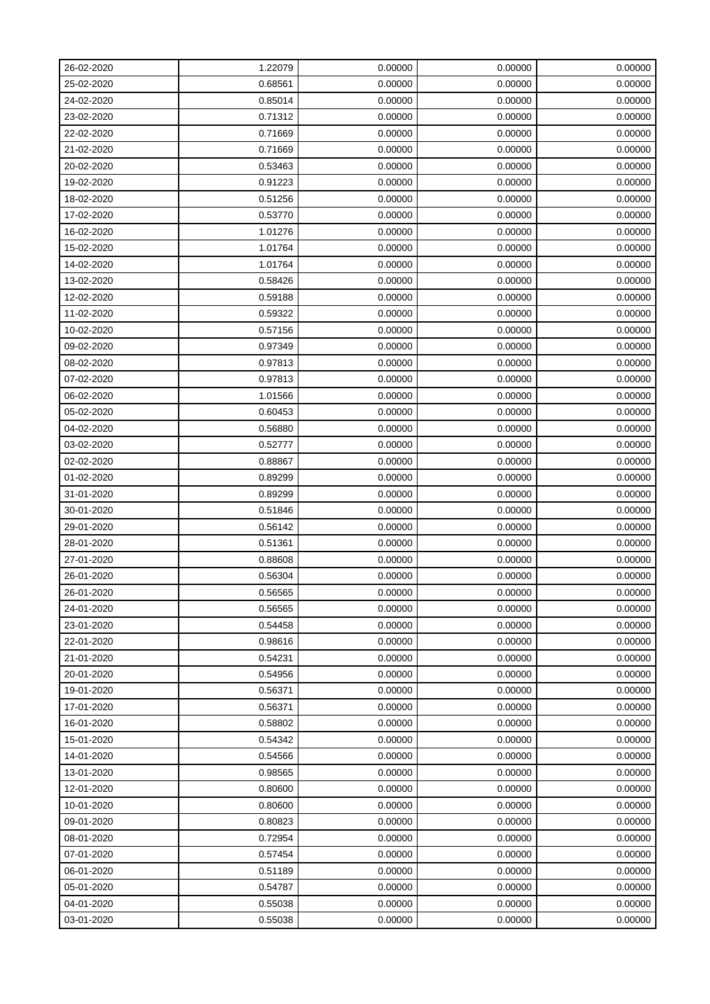| 26-02-2020 | 1.22079 | 0.00000 | 0.00000 | 0.00000 |
|------------|---------|---------|---------|---------|
| 25-02-2020 | 0.68561 | 0.00000 | 0.00000 | 0.00000 |
| 24-02-2020 | 0.85014 | 0.00000 | 0.00000 | 0.00000 |
| 23-02-2020 | 0.71312 | 0.00000 | 0.00000 | 0.00000 |
| 22-02-2020 | 0.71669 | 0.00000 | 0.00000 | 0.00000 |
| 21-02-2020 | 0.71669 | 0.00000 | 0.00000 | 0.00000 |
| 20-02-2020 | 0.53463 | 0.00000 | 0.00000 | 0.00000 |
| 19-02-2020 | 0.91223 | 0.00000 | 0.00000 | 0.00000 |
| 18-02-2020 | 0.51256 | 0.00000 | 0.00000 | 0.00000 |
| 17-02-2020 | 0.53770 | 0.00000 | 0.00000 | 0.00000 |
| 16-02-2020 | 1.01276 | 0.00000 | 0.00000 | 0.00000 |
| 15-02-2020 | 1.01764 | 0.00000 | 0.00000 | 0.00000 |
| 14-02-2020 | 1.01764 | 0.00000 | 0.00000 | 0.00000 |
| 13-02-2020 | 0.58426 | 0.00000 | 0.00000 | 0.00000 |
| 12-02-2020 | 0.59188 | 0.00000 | 0.00000 | 0.00000 |
| 11-02-2020 | 0.59322 | 0.00000 | 0.00000 | 0.00000 |
| 10-02-2020 | 0.57156 | 0.00000 | 0.00000 | 0.00000 |
| 09-02-2020 | 0.97349 | 0.00000 | 0.00000 | 0.00000 |
| 08-02-2020 | 0.97813 | 0.00000 | 0.00000 | 0.00000 |
| 07-02-2020 | 0.97813 | 0.00000 | 0.00000 | 0.00000 |
| 06-02-2020 | 1.01566 | 0.00000 | 0.00000 | 0.00000 |
| 05-02-2020 | 0.60453 | 0.00000 | 0.00000 | 0.00000 |
| 04-02-2020 | 0.56880 | 0.00000 | 0.00000 | 0.00000 |
| 03-02-2020 | 0.52777 | 0.00000 | 0.00000 | 0.00000 |
| 02-02-2020 | 0.88867 | 0.00000 | 0.00000 | 0.00000 |
| 01-02-2020 | 0.89299 | 0.00000 | 0.00000 | 0.00000 |
| 31-01-2020 | 0.89299 | 0.00000 | 0.00000 | 0.00000 |
| 30-01-2020 | 0.51846 | 0.00000 | 0.00000 | 0.00000 |
| 29-01-2020 | 0.56142 | 0.00000 | 0.00000 | 0.00000 |
| 28-01-2020 | 0.51361 | 0.00000 | 0.00000 | 0.00000 |
| 27-01-2020 | 0.88608 | 0.00000 | 0.00000 | 0.00000 |
| 26-01-2020 | 0.56304 | 0.00000 | 0.00000 | 0.00000 |
| 26-01-2020 | 0.56565 | 0.00000 | 0.00000 | 0.00000 |
| 24-01-2020 | 0.56565 | 0.00000 | 0.00000 | 0.00000 |
| 23-01-2020 | 0.54458 | 0.00000 | 0.00000 | 0.00000 |
| 22-01-2020 | 0.98616 | 0.00000 | 0.00000 | 0.00000 |
| 21-01-2020 | 0.54231 | 0.00000 | 0.00000 | 0.00000 |
| 20-01-2020 | 0.54956 | 0.00000 | 0.00000 | 0.00000 |
| 19-01-2020 | 0.56371 | 0.00000 | 0.00000 | 0.00000 |
| 17-01-2020 | 0.56371 | 0.00000 | 0.00000 | 0.00000 |
| 16-01-2020 | 0.58802 | 0.00000 | 0.00000 | 0.00000 |
| 15-01-2020 | 0.54342 | 0.00000 | 0.00000 | 0.00000 |
| 14-01-2020 | 0.54566 | 0.00000 | 0.00000 | 0.00000 |
| 13-01-2020 | 0.98565 | 0.00000 | 0.00000 | 0.00000 |
| 12-01-2020 | 0.80600 | 0.00000 | 0.00000 | 0.00000 |
| 10-01-2020 | 0.80600 | 0.00000 | 0.00000 | 0.00000 |
| 09-01-2020 | 0.80823 | 0.00000 | 0.00000 | 0.00000 |
| 08-01-2020 | 0.72954 | 0.00000 | 0.00000 | 0.00000 |
| 07-01-2020 | 0.57454 | 0.00000 | 0.00000 | 0.00000 |
| 06-01-2020 | 0.51189 | 0.00000 | 0.00000 | 0.00000 |
| 05-01-2020 | 0.54787 | 0.00000 | 0.00000 | 0.00000 |
| 04-01-2020 | 0.55038 | 0.00000 | 0.00000 | 0.00000 |
| 03-01-2020 | 0.55038 | 0.00000 | 0.00000 | 0.00000 |